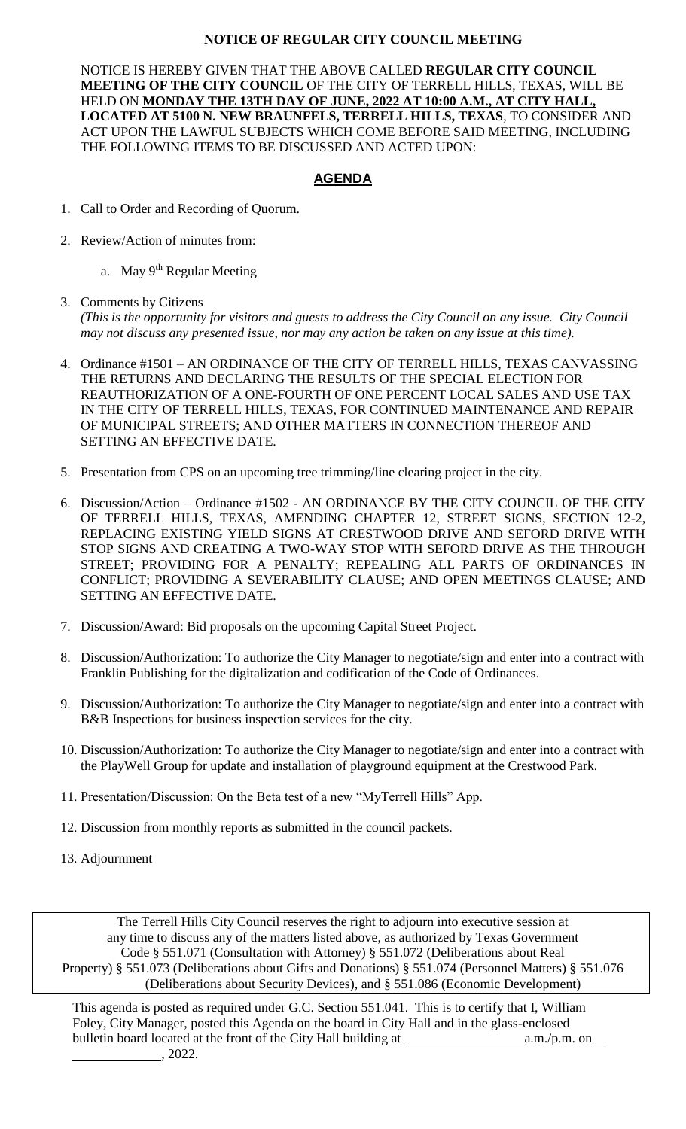## **NOTICE OF REGULAR CITY COUNCIL MEETING**

NOTICE IS HEREBY GIVEN THAT THE ABOVE CALLED **REGULAR CITY COUNCIL MEETING OF THE CITY COUNCIL** OF THE CITY OF TERRELL HILLS, TEXAS, WILL BE HELD ON **MONDAY THE 13TH DAY OF JUNE, 2022 AT 10:00 A.M., AT CITY HALL, LOCATED AT 5100 N. NEW BRAUNFELS, TERRELL HILLS, TEXAS**, TO CONSIDER AND ACT UPON THE LAWFUL SUBJECTS WHICH COME BEFORE SAID MEETING, INCLUDING THE FOLLOWING ITEMS TO BE DISCUSSED AND ACTED UPON:

## **AGENDA**

- 1. Call to Order and Recording of Quorum.
- 2. Review/Action of minutes from:
	- a. May 9<sup>th</sup> Regular Meeting
- 3. Comments by Citizens *(This is the opportunity for visitors and guests to address the City Council on any issue. City Council may not discuss any presented issue, nor may any action be taken on any issue at this time).*
- 4. Ordinance #1501 AN ORDINANCE OF THE CITY OF TERRELL HILLS, TEXAS CANVASSING THE RETURNS AND DECLARING THE RESULTS OF THE SPECIAL ELECTION FOR REAUTHORIZATION OF A ONE-FOURTH OF ONE PERCENT LOCAL SALES AND USE TAX IN THE CITY OF TERRELL HILLS, TEXAS, FOR CONTINUED MAINTENANCE AND REPAIR OF MUNICIPAL STREETS; AND OTHER MATTERS IN CONNECTION THEREOF AND SETTING AN EFFECTIVE DATE.
- 5. Presentation from CPS on an upcoming tree trimming/line clearing project in the city.
- 6. Discussion/Action Ordinance #1502 AN ORDINANCE BY THE CITY COUNCIL OF THE CITY OF TERRELL HILLS, TEXAS, AMENDING CHAPTER 12, STREET SIGNS, SECTION 12-2, REPLACING EXISTING YIELD SIGNS AT CRESTWOOD DRIVE AND SEFORD DRIVE WITH STOP SIGNS AND CREATING A TWO-WAY STOP WITH SEFORD DRIVE AS THE THROUGH STREET; PROVIDING FOR A PENALTY; REPEALING ALL PARTS OF ORDINANCES IN CONFLICT; PROVIDING A SEVERABILITY CLAUSE; AND OPEN MEETINGS CLAUSE; AND SETTING AN EFFECTIVE DATE.
- 7. Discussion/Award: Bid proposals on the upcoming Capital Street Project.
- 8. Discussion/Authorization: To authorize the City Manager to negotiate/sign and enter into a contract with Franklin Publishing for the digitalization and codification of the Code of Ordinances.
- 9. Discussion/Authorization: To authorize the City Manager to negotiate/sign and enter into a contract with B&B Inspections for business inspection services for the city.
- 10. Discussion/Authorization: To authorize the City Manager to negotiate/sign and enter into a contract with the PlayWell Group for update and installation of playground equipment at the Crestwood Park.
- 11. Presentation/Discussion: On the Beta test of a new "MyTerrell Hills" App.
- 12. Discussion from monthly reports as submitted in the council packets.
- 13. Adjournment

The Terrell Hills City Council reserves the right to adjourn into executive session at any time to discuss any of the matters listed above, as authorized by Texas Government Code § 551.071 (Consultation with Attorney) § 551.072 (Deliberations about Real Property) § 551.073 (Deliberations about Gifts and Donations) § 551.074 (Personnel Matters) § 551.076 (Deliberations about Security Devices), and § 551.086 (Economic Development)

This agenda is posted as required under G.C. Section 551.041. This is to certify that I, William Foley, City Manager, posted this Agenda on the board in City Hall and in the glass-enclosed bulletin board located at the front of the City Hall building at a.m./p.m. on  $\frac{1}{2022}$ .